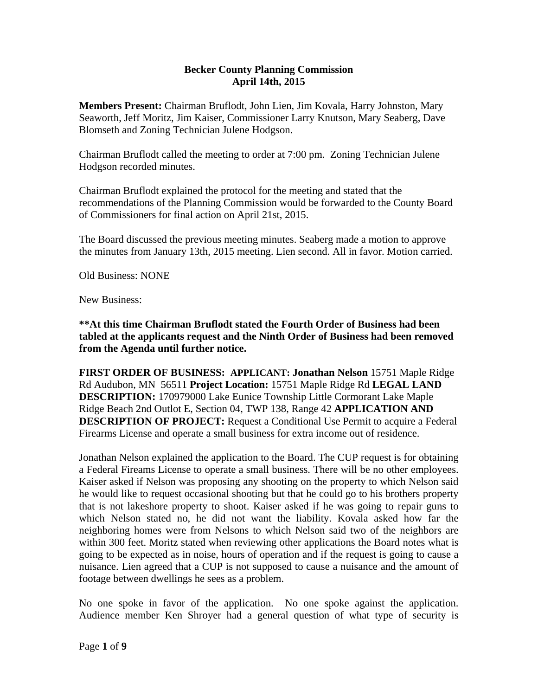## **Becker County Planning Commission April 14th, 2015**

**Members Present:** Chairman Bruflodt, John Lien, Jim Kovala, Harry Johnston, Mary Seaworth, Jeff Moritz, Jim Kaiser, Commissioner Larry Knutson, Mary Seaberg, Dave Blomseth and Zoning Technician Julene Hodgson.

Chairman Bruflodt called the meeting to order at 7:00 pm. Zoning Technician Julene Hodgson recorded minutes.

Chairman Bruflodt explained the protocol for the meeting and stated that the recommendations of the Planning Commission would be forwarded to the County Board of Commissioners for final action on April 21st, 2015.

The Board discussed the previous meeting minutes. Seaberg made a motion to approve the minutes from January 13th, 2015 meeting. Lien second. All in favor. Motion carried.

Old Business: NONE

New Business:

**\*\*At this time Chairman Bruflodt stated the Fourth Order of Business had been tabled at the applicants request and the Ninth Order of Business had been removed from the Agenda until further notice.** 

**FIRST ORDER OF BUSINESS: APPLICANT: Jonathan Nelson** 15751 Maple Ridge Rd Audubon, MN 56511 **Project Location:** 15751 Maple Ridge Rd **LEGAL LAND DESCRIPTION:** 170979000 Lake Eunice Township Little Cormorant Lake Maple Ridge Beach 2nd Outlot E, Section 04, TWP 138, Range 42 **APPLICATION AND DESCRIPTION OF PROJECT:** Request a Conditional Use Permit to acquire a Federal Firearms License and operate a small business for extra income out of residence.

Jonathan Nelson explained the application to the Board. The CUP request is for obtaining a Federal Fireams License to operate a small business. There will be no other employees. Kaiser asked if Nelson was proposing any shooting on the property to which Nelson said he would like to request occasional shooting but that he could go to his brothers property that is not lakeshore property to shoot. Kaiser asked if he was going to repair guns to which Nelson stated no, he did not want the liability. Kovala asked how far the neighboring homes were from Nelsons to which Nelson said two of the neighbors are within 300 feet. Moritz stated when reviewing other applications the Board notes what is going to be expected as in noise, hours of operation and if the request is going to cause a nuisance. Lien agreed that a CUP is not supposed to cause a nuisance and the amount of footage between dwellings he sees as a problem.

No one spoke in favor of the application. No one spoke against the application. Audience member Ken Shroyer had a general question of what type of security is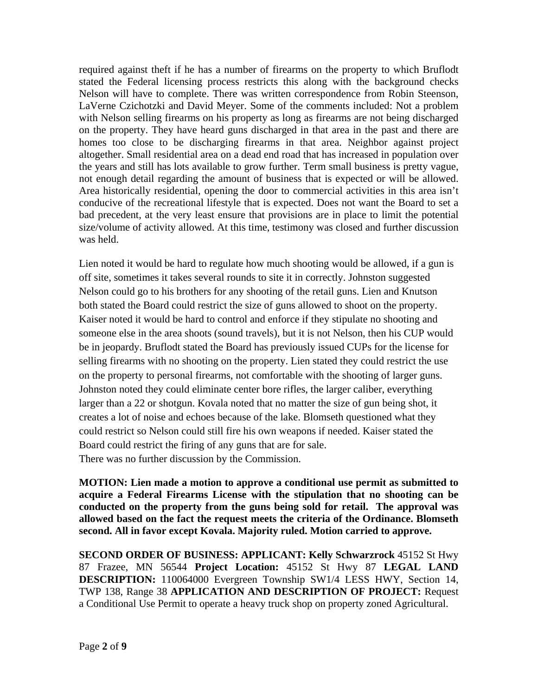required against theft if he has a number of firearms on the property to which Bruflodt stated the Federal licensing process restricts this along with the background checks Nelson will have to complete. There was written correspondence from Robin Steenson, LaVerne Czichotzki and David Meyer. Some of the comments included: Not a problem with Nelson selling firearms on his property as long as firearms are not being discharged on the property. They have heard guns discharged in that area in the past and there are homes too close to be discharging firearms in that area. Neighbor against project altogether. Small residential area on a dead end road that has increased in population over the years and still has lots available to grow further. Term small business is pretty vague, not enough detail regarding the amount of business that is expected or will be allowed. Area historically residential, opening the door to commercial activities in this area isn't conducive of the recreational lifestyle that is expected. Does not want the Board to set a bad precedent, at the very least ensure that provisions are in place to limit the potential size/volume of activity allowed. At this time, testimony was closed and further discussion was held.

Lien noted it would be hard to regulate how much shooting would be allowed, if a gun is off site, sometimes it takes several rounds to site it in correctly. Johnston suggested Nelson could go to his brothers for any shooting of the retail guns. Lien and Knutson both stated the Board could restrict the size of guns allowed to shoot on the property. Kaiser noted it would be hard to control and enforce if they stipulate no shooting and someone else in the area shoots (sound travels), but it is not Nelson, then his CUP would be in jeopardy. Bruflodt stated the Board has previously issued CUPs for the license for selling firearms with no shooting on the property. Lien stated they could restrict the use on the property to personal firearms, not comfortable with the shooting of larger guns. Johnston noted they could eliminate center bore rifles, the larger caliber, everything larger than a 22 or shotgun. Kovala noted that no matter the size of gun being shot, it creates a lot of noise and echoes because of the lake. Blomseth questioned what they could restrict so Nelson could still fire his own weapons if needed. Kaiser stated the Board could restrict the firing of any guns that are for sale. There was no further discussion by the Commission.

**MOTION: Lien made a motion to approve a conditional use permit as submitted to acquire a Federal Firearms License with the stipulation that no shooting can be conducted on the property from the guns being sold for retail. The approval was allowed based on the fact the request meets the criteria of the Ordinance. Blomseth second. All in favor except Kovala. Majority ruled. Motion carried to approve.**

**SECOND ORDER OF BUSINESS: APPLICANT: Kelly Schwarzrock** 45152 St Hwy 87 Frazee, MN 56544 **Project Location:** 45152 St Hwy 87 **LEGAL LAND DESCRIPTION:** 110064000 Evergreen Township SW1/4 LESS HWY, Section 14, TWP 138, Range 38 **APPLICATION AND DESCRIPTION OF PROJECT:** Request a Conditional Use Permit to operate a heavy truck shop on property zoned Agricultural.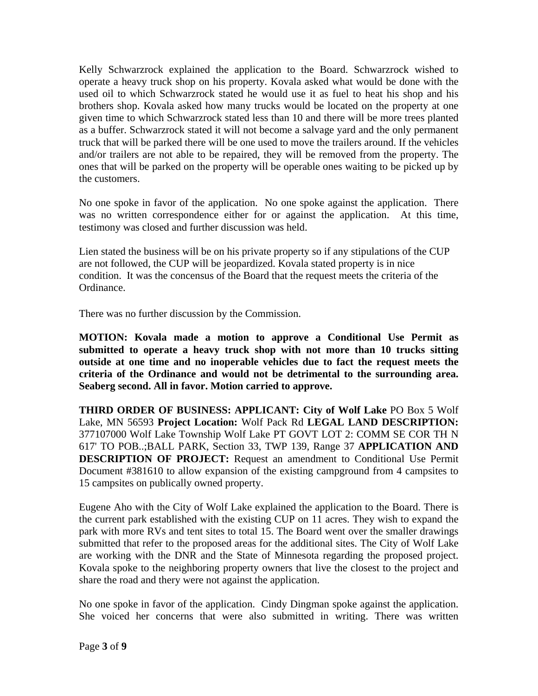Kelly Schwarzrock explained the application to the Board. Schwarzrock wished to operate a heavy truck shop on his property. Kovala asked what would be done with the used oil to which Schwarzrock stated he would use it as fuel to heat his shop and his brothers shop. Kovala asked how many trucks would be located on the property at one given time to which Schwarzrock stated less than 10 and there will be more trees planted as a buffer. Schwarzrock stated it will not become a salvage yard and the only permanent truck that will be parked there will be one used to move the trailers around. If the vehicles and/or trailers are not able to be repaired, they will be removed from the property. The ones that will be parked on the property will be operable ones waiting to be picked up by the customers.

No one spoke in favor of the application. No one spoke against the application. There was no written correspondence either for or against the application. At this time, testimony was closed and further discussion was held.

Lien stated the business will be on his private property so if any stipulations of the CUP are not followed, the CUP will be jeopardized. Kovala stated property is in nice condition. It was the concensus of the Board that the request meets the criteria of the Ordinance.

There was no further discussion by the Commission.

**MOTION: Kovala made a motion to approve a Conditional Use Permit as submitted to operate a heavy truck shop with not more than 10 trucks sitting outside at one time and no inoperable vehicles due to fact the request meets the criteria of the Ordinance and would not be detrimental to the surrounding area. Seaberg second. All in favor. Motion carried to approve.** 

**THIRD ORDER OF BUSINESS: APPLICANT: City of Wolf Lake** PO Box 5 Wolf Lake, MN 56593 **Project Location:** Wolf Pack Rd **LEGAL LAND DESCRIPTION:** 377107000 Wolf Lake Township Wolf Lake PT GOVT LOT 2: COMM SE COR TH N 617' TO POB..;BALL PARK, Section 33, TWP 139, Range 37 **APPLICATION AND DESCRIPTION OF PROJECT:** Request an amendment to Conditional Use Permit Document #381610 to allow expansion of the existing campground from 4 campsites to 15 campsites on publically owned property.

Eugene Aho with the City of Wolf Lake explained the application to the Board. There is the current park established with the existing CUP on 11 acres. They wish to expand the park with more RVs and tent sites to total 15. The Board went over the smaller drawings submitted that refer to the proposed areas for the additional sites. The City of Wolf Lake are working with the DNR and the State of Minnesota regarding the proposed project. Kovala spoke to the neighboring property owners that live the closest to the project and share the road and thery were not against the application.

No one spoke in favor of the application. Cindy Dingman spoke against the application. She voiced her concerns that were also submitted in writing. There was written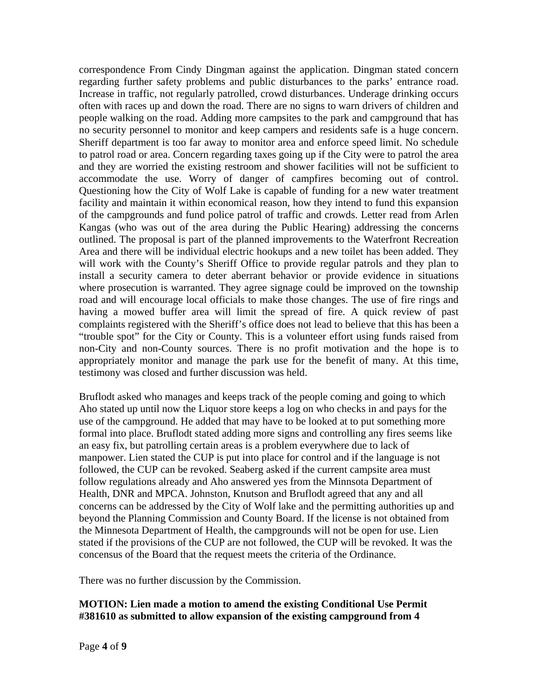correspondence From Cindy Dingman against the application. Dingman stated concern regarding further safety problems and public disturbances to the parks' entrance road. Increase in traffic, not regularly patrolled, crowd disturbances. Underage drinking occurs often with races up and down the road. There are no signs to warn drivers of children and people walking on the road. Adding more campsites to the park and campground that has no security personnel to monitor and keep campers and residents safe is a huge concern. Sheriff department is too far away to monitor area and enforce speed limit. No schedule to patrol road or area. Concern regarding taxes going up if the City were to patrol the area and they are worried the existing restroom and shower facilities will not be sufficient to accommodate the use. Worry of danger of campfires becoming out of control. Questioning how the City of Wolf Lake is capable of funding for a new water treatment facility and maintain it within economical reason, how they intend to fund this expansion of the campgrounds and fund police patrol of traffic and crowds. Letter read from Arlen Kangas (who was out of the area during the Public Hearing) addressing the concerns outlined. The proposal is part of the planned improvements to the Waterfront Recreation Area and there will be individual electric hookups and a new toilet has been added. They will work with the County's Sheriff Office to provide regular patrols and they plan to install a security camera to deter aberrant behavior or provide evidence in situations where prosecution is warranted. They agree signage could be improved on the township road and will encourage local officials to make those changes. The use of fire rings and having a mowed buffer area will limit the spread of fire. A quick review of past complaints registered with the Sheriff's office does not lead to believe that this has been a "trouble spot" for the City or County. This is a volunteer effort using funds raised from non-City and non-County sources. There is no profit motivation and the hope is to appropriately monitor and manage the park use for the benefit of many. At this time, testimony was closed and further discussion was held.

Bruflodt asked who manages and keeps track of the people coming and going to which Aho stated up until now the Liquor store keeps a log on who checks in and pays for the use of the campground. He added that may have to be looked at to put something more formal into place. Bruflodt stated adding more signs and controlling any fires seems like an easy fix, but patrolling certain areas is a problem everywhere due to lack of manpower. Lien stated the CUP is put into place for control and if the language is not followed, the CUP can be revoked. Seaberg asked if the current campsite area must follow regulations already and Aho answered yes from the Minnsota Department of Health, DNR and MPCA. Johnston, Knutson and Bruflodt agreed that any and all concerns can be addressed by the City of Wolf lake and the permitting authorities up and beyond the Planning Commission and County Board. If the license is not obtained from the Minnesota Department of Health, the campgrounds will not be open for use. Lien stated if the provisions of the CUP are not followed, the CUP will be revoked. It was the concensus of the Board that the request meets the criteria of the Ordinance.

There was no further discussion by the Commission.

## **MOTION: Lien made a motion to amend the existing Conditional Use Permit #381610 as submitted to allow expansion of the existing campground from 4**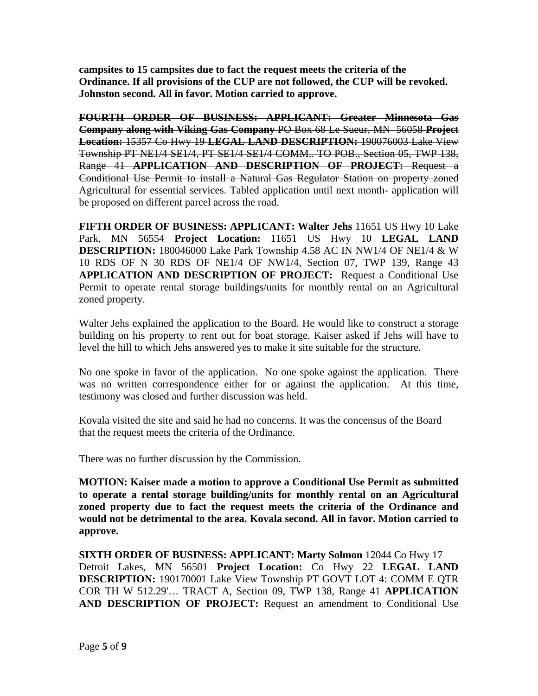**campsites to 15 campsites due to fact the request meets the criteria of the Ordinance. If all provisions of the CUP are not followed, the CUP will be revoked. Johnston second. All in favor. Motion carried to approve.** 

**FOURTH ORDER OF BUSINESS: APPLICANT: Greater Minnesota Gas Company along with Viking Gas Company** PO Box 68 Le Sueur, MN 56058 **Project Location:** 15357 Co Hwy 19 **LEGAL LAND DESCRIPTION:** 190076003 Lake View Township PT NE1/4 SE1/4, PT SE1/4 SE1/4 COMM.. TO POB., Section 05, TWP 138, Range 41 **APPLICATION AND DESCRIPTION OF PROJECT:** Request a Conditional Use Permit to install a Natural Gas Regulator Station on property zoned Agricultural for essential services. Tabled application until next month- application will be proposed on different parcel across the road.

**FIFTH ORDER OF BUSINESS: APPLICANT: Walter Jehs** 11651 US Hwy 10 Lake Park, MN 56554 **Project Location:** 11651 US Hwy 10 **LEGAL LAND DESCRIPTION:** 180046000 Lake Park Township 4.58 AC IN NW1/4 OF NE1/4 & W 10 RDS OF N 30 RDS OF NE1/4 OF NW1/4, Section 07, TWP 139, Range 43 **APPLICATION AND DESCRIPTION OF PROJECT:** Request a Conditional Use Permit to operate rental storage buildings/units for monthly rental on an Agricultural zoned property.

Walter Jehs explained the application to the Board. He would like to construct a storage building on his property to rent out for boat storage. Kaiser asked if Jehs will have to level the hill to which Jehs answered yes to make it site suitable for the structure.

No one spoke in favor of the application. No one spoke against the application. There was no written correspondence either for or against the application. At this time, testimony was closed and further discussion was held.

Kovala visited the site and said he had no concerns. It was the concensus of the Board that the request meets the criteria of the Ordinance.

There was no further discussion by the Commission.

**MOTION: Kaiser made a motion to approve a Conditional Use Permit as submitted to operate a rental storage building/units for monthly rental on an Agricultural zoned property due to fact the request meets the criteria of the Ordinance and would not be detrimental to the area. Kovala second. All in favor. Motion carried to approve.** 

**SIXTH ORDER OF BUSINESS: APPLICANT: Marty Solmon** 12044 Co Hwy 17 Detroit Lakes, MN 56501 **Project Location:** Co Hwy 22 **LEGAL LAND DESCRIPTION:** 190170001 Lake View Township PT GOVT LOT 4: COMM E QTR COR TH W 512.29'… TRACT A, Section 09, TWP 138, Range 41 **APPLICATION AND DESCRIPTION OF PROJECT:** Request an amendment to Conditional Use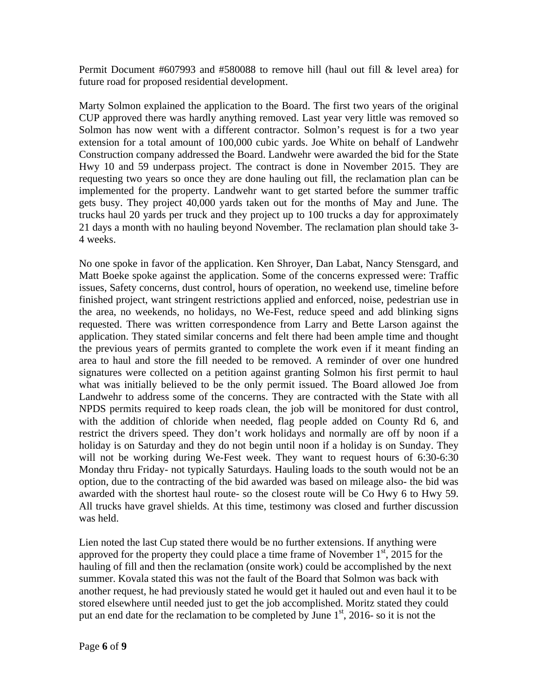Permit Document #607993 and #580088 to remove hill (haul out fill & level area) for future road for proposed residential development.

Marty Solmon explained the application to the Board. The first two years of the original CUP approved there was hardly anything removed. Last year very little was removed so Solmon has now went with a different contractor. Solmon's request is for a two year extension for a total amount of 100,000 cubic yards. Joe White on behalf of Landwehr Construction company addressed the Board. Landwehr were awarded the bid for the State Hwy 10 and 59 underpass project. The contract is done in November 2015. They are requesting two years so once they are done hauling out fill, the reclamation plan can be implemented for the property. Landwehr want to get started before the summer traffic gets busy. They project 40,000 yards taken out for the months of May and June. The trucks haul 20 yards per truck and they project up to 100 trucks a day for approximately 21 days a month with no hauling beyond November. The reclamation plan should take 3- 4 weeks.

No one spoke in favor of the application. Ken Shroyer, Dan Labat, Nancy Stensgard, and Matt Boeke spoke against the application. Some of the concerns expressed were: Traffic issues, Safety concerns, dust control, hours of operation, no weekend use, timeline before finished project, want stringent restrictions applied and enforced, noise, pedestrian use in the area, no weekends, no holidays, no We-Fest, reduce speed and add blinking signs requested. There was written correspondence from Larry and Bette Larson against the application. They stated similar concerns and felt there had been ample time and thought the previous years of permits granted to complete the work even if it meant finding an area to haul and store the fill needed to be removed. A reminder of over one hundred signatures were collected on a petition against granting Solmon his first permit to haul what was initially believed to be the only permit issued. The Board allowed Joe from Landwehr to address some of the concerns. They are contracted with the State with all NPDS permits required to keep roads clean, the job will be monitored for dust control, with the addition of chloride when needed, flag people added on County Rd 6, and restrict the drivers speed. They don't work holidays and normally are off by noon if a holiday is on Saturday and they do not begin until noon if a holiday is on Sunday. They will not be working during We-Fest week. They want to request hours of 6:30-6:30 Monday thru Friday- not typically Saturdays. Hauling loads to the south would not be an option, due to the contracting of the bid awarded was based on mileage also- the bid was awarded with the shortest haul route- so the closest route will be Co Hwy 6 to Hwy 59. All trucks have gravel shields. At this time, testimony was closed and further discussion was held.

Lien noted the last Cup stated there would be no further extensions. If anything were approved for the property they could place a time frame of November  $1<sup>st</sup>$ , 2015 for the hauling of fill and then the reclamation (onsite work) could be accomplished by the next summer. Kovala stated this was not the fault of the Board that Solmon was back with another request, he had previously stated he would get it hauled out and even haul it to be stored elsewhere until needed just to get the job accomplished. Moritz stated they could put an end date for the reclamation to be completed by June  $1<sup>st</sup>$ , 2016- so it is not the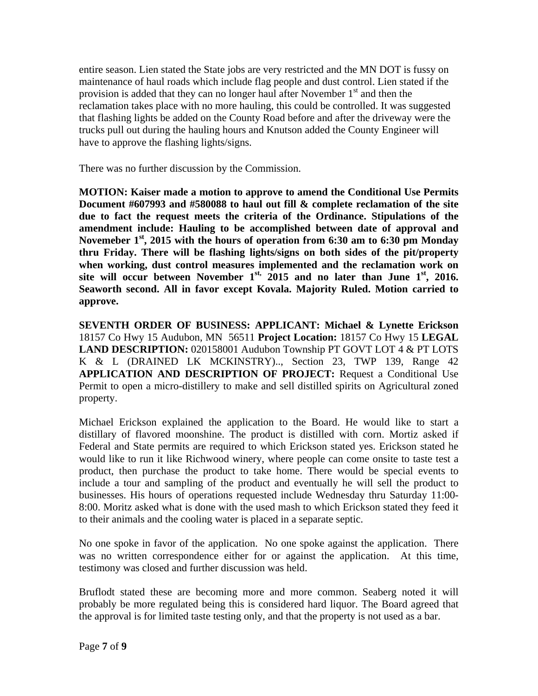entire season. Lien stated the State jobs are very restricted and the MN DOT is fussy on maintenance of haul roads which include flag people and dust control. Lien stated if the provision is added that they can no longer haul after November  $1<sup>st</sup>$  and then the reclamation takes place with no more hauling, this could be controlled. It was suggested that flashing lights be added on the County Road before and after the driveway were the trucks pull out during the hauling hours and Knutson added the County Engineer will have to approve the flashing lights/signs.

There was no further discussion by the Commission.

**MOTION: Kaiser made a motion to approve to amend the Conditional Use Permits Document #607993 and #580088 to haul out fill & complete reclamation of the site due to fact the request meets the criteria of the Ordinance. Stipulations of the amendment include: Hauling to be accomplished between date of approval and Novemeber 1st, 2015 with the hours of operation from 6:30 am to 6:30 pm Monday thru Friday. There will be flashing lights/signs on both sides of the pit/property when working, dust control measures implemented and the reclamation work on**  site will occur between November  $1^{st}$ , 2015 and no later than June  $1^{st}$ , 2016. **Seaworth second. All in favor except Kovala. Majority Ruled. Motion carried to approve.** 

**SEVENTH ORDER OF BUSINESS: APPLICANT: Michael & Lynette Erickson** 18157 Co Hwy 15 Audubon, MN 56511 **Project Location:** 18157 Co Hwy 15 **LEGAL LAND DESCRIPTION:** 020158001 Audubon Township PT GOVT LOT 4 & PT LOTS K & L (DRAINED LK MCKINSTRY).., Section 23, TWP 139, Range 42 **APPLICATION AND DESCRIPTION OF PROJECT:** Request a Conditional Use Permit to open a micro-distillery to make and sell distilled spirits on Agricultural zoned property.

Michael Erickson explained the application to the Board. He would like to start a distillary of flavored moonshine. The product is distilled with corn. Mortiz asked if Federal and State permits are required to which Erickson stated yes. Erickson stated he would like to run it like Richwood winery, where people can come onsite to taste test a product, then purchase the product to take home. There would be special events to include a tour and sampling of the product and eventually he will sell the product to businesses. His hours of operations requested include Wednesday thru Saturday 11:00- 8:00. Moritz asked what is done with the used mash to which Erickson stated they feed it to their animals and the cooling water is placed in a separate septic.

No one spoke in favor of the application. No one spoke against the application. There was no written correspondence either for or against the application. At this time, testimony was closed and further discussion was held.

Bruflodt stated these are becoming more and more common. Seaberg noted it will probably be more regulated being this is considered hard liquor. The Board agreed that the approval is for limited taste testing only, and that the property is not used as a bar.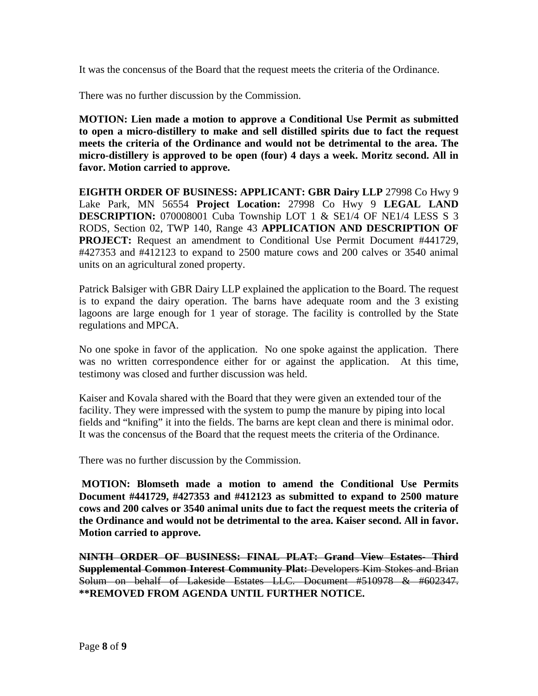It was the concensus of the Board that the request meets the criteria of the Ordinance.

There was no further discussion by the Commission.

**MOTION: Lien made a motion to approve a Conditional Use Permit as submitted to open a micro-distillery to make and sell distilled spirits due to fact the request meets the criteria of the Ordinance and would not be detrimental to the area. The micro-distillery is approved to be open (four) 4 days a week. Moritz second. All in favor. Motion carried to approve.** 

**EIGHTH ORDER OF BUSINESS: APPLICANT: GBR Dairy LLP** 27998 Co Hwy 9 Lake Park, MN 56554 **Project Location:** 27998 Co Hwy 9 **LEGAL LAND DESCRIPTION:** 070008001 Cuba Township LOT 1 & SE1/4 OF NE1/4 LESS S 3 RODS, Section 02, TWP 140, Range 43 **APPLICATION AND DESCRIPTION OF PROJECT:** Request an amendment to Conditional Use Permit Document #441729,  $\text{\#}427353$  and  $\text{\#}412123$  to expand to 2500 mature cows and 200 calves or 3540 animal units on an agricultural zoned property.

Patrick Balsiger with GBR Dairy LLP explained the application to the Board. The request is to expand the dairy operation. The barns have adequate room and the 3 existing lagoons are large enough for 1 year of storage. The facility is controlled by the State regulations and MPCA.

No one spoke in favor of the application. No one spoke against the application. There was no written correspondence either for or against the application. At this time, testimony was closed and further discussion was held.

Kaiser and Kovala shared with the Board that they were given an extended tour of the facility. They were impressed with the system to pump the manure by piping into local fields and "knifing" it into the fields. The barns are kept clean and there is minimal odor. It was the concensus of the Board that the request meets the criteria of the Ordinance.

There was no further discussion by the Commission.

**MOTION: Blomseth made a motion to amend the Conditional Use Permits Document #441729, #427353 and #412123 as submitted to expand to 2500 mature cows and 200 calves or 3540 animal units due to fact the request meets the criteria of the Ordinance and would not be detrimental to the area. Kaiser second. All in favor. Motion carried to approve.** 

**NINTH ORDER OF BUSINESS: FINAL PLAT: Grand View Estates- Third Supplemental Common Interest Community Plat:** Developers Kim Stokes and Brian Solum on behalf of Lakeside Estates LLC. Document #510978 & #602347. **\*\*REMOVED FROM AGENDA UNTIL FURTHER NOTICE.**